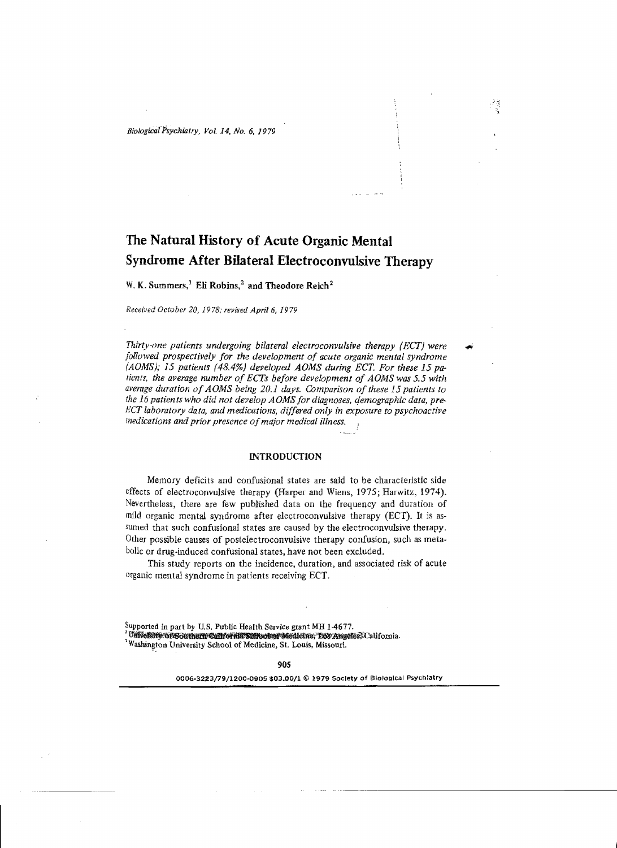# **The Natural History of Acute Organic Mental Syndrome After Bilateral Electroconvulsive Therapy**

ومناصر المرادين

W. K. Summers,<sup>1</sup> Eli Robins,<sup>2</sup> and Theodore Reich<sup>2</sup>

*Received October 20,* 1978; *revised April* 6, 1979

*Thirty-one patients undergoing bilateral electroconvulsive therapy (ECT) were followed prospectively for the development of acute organic mental syndrome (A OMS);* 15 *patients* (48.4%) *developed AOMS during ECT. For these* 15 *patients, the average number of ECTs before development of A OMS was* 5.5 *with average duration ofA OMS being 20.1 days. Comparison ofthese* 15 *patients to the* 16 *patients Who did not develop A OMS for diagnoses, demographic data, pre-*HCT *laboratory data, and medications, differed only in exposure to psychoactive medications and prior presence ofmajor medical illness.* 

# **INTRODUCTION**

Memory deficits and confusional states are said to be characteristic side effects of electroconvulsive therapy (Harper and Wiens, 1975; Harwitz, 1974). Nevertheless, there are few published data on the frequency and duration of mild organic mental syndrome after electroconvulsive therapy (ECT). It is assumed that such confusional states are caused by the electroconvulsive therapy. Other possible causes of postelectroconvulsive therapy confusion, such as metabolic or drug-induced confusional states, have not been excluded.

This study reports on the incidence, duration, and associated risk of acute organic mental syndrome in patients receiving ECT.

<sup>2</sup> Washington University School of Medicine, St. Louis. Missouri.

0006-3223/79/1200·0905 \$03.00/1 © 1979 SocIety of BiologIcal PsYchiatry

Supported in part by U.S. Public Health Service grant MH 1-4677.

<sup>&#</sup>x27;University Gregorian California School Medicine, Low Angeles, California.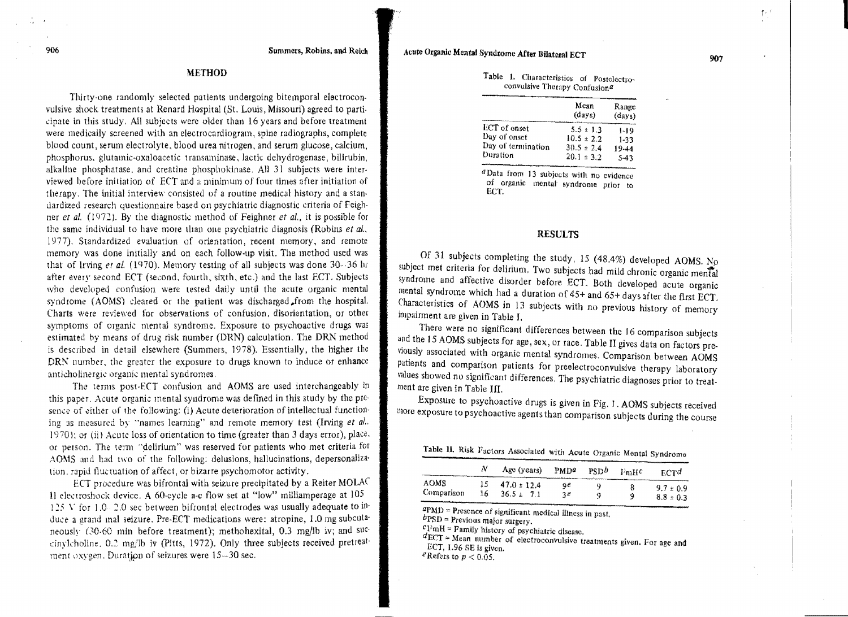## **METHOD**

Thirty-one randomly selected patients undergoing bitemporal electroconvulsive shock treatments at Renard Hospital (St. Louis, Missouri) agreed to parti· cipate in this study. All subjects were older than 16 years and before treatment were medically screened with an electrocardiogram, spine radiographs, complete blood count, serum electrolyte, blood urea nitrogen, and serum glucose, calcium, phosphorus. glutamic-oxaloacetic transaminase, lactic dehydrogenase, bilirubin, alkaline phosphatase, and creatine phosphokinase. All 31 subjects were inter· viewed before initiation of ECT and a minimum of four times after initiation of lherapy. The initial interview consisted of a routine medical history and a stan· dardized research questionnaire based on psychiatric diagnostic criteria of Feighner *et al.* (1972). By the diagnostic method of Feighner *et al.*, it is possible for the same individual to have more than one psychiatric diagnosis (Robins et al., 1977). Standardized evaluation of orientation, recent memory, and remote memory was done initially and on each follow-up visit. The method used was that of Irving et al. (1970). Memory testing of all subjects was done  $30 - 36$  hr after every second ECT (second, fourth, sixth, etc.) and the last ECT. Subjects who developed confusion were tested daily until the acute organic mental syndrome (AOMS) cleared or the patient was discharged from the hospital. Charts were reviewed for observations of confusion, disorientation, or other symptoms of organic mental syndrome. Exposure to psychoactive drugs was estimated by means of drug risk number (DRN) calculation. The DRN method is described in detail elsewhere (Summers, 1978). Essentially, the higher the DRN number, the greater the exposure to drugs known to induce or enhance anticholinergic organic mental syndromes.

The terms post-ECT confusion and AOMS are used interchangeably in this paper. Acute organic mental syndrome was defined in this study by the presence of either of the following: (i) Acute deterioration of intellectual functioning as measured by "names learning" and remote memory test (Irving et al.. 1970); or (ii) Acute loss of orientation to time (greater than 3 days error), place. or person. The term "delirium" was reserved for patients who met criteria for AOMS and had two of the following: delusions, hallucinations, depersonaliza· tion, rapid fluctuation of affect, or bizarre psychomotor activity.

ECT procedure was bifrontal with seizure precipitated by a Reiter MOLAC Il electroshock device. A 60-cycle a-c flow set at "low" milliamperage at  $105$ 125 V for  $1.0 - 2.0$  sec between bifrontal electrodes was usually adequate to induce a grand mal seizure. Pre-ECT medications were: atropine, 1.0 mg subcutaneously (30-60 min before treatment); methohexital, 0.3 mg/lb iv; and succinylcholine. 0.2 mg/lb iv (Pitts, 1972). Only three subjects received pretreatment oxygen. Duration of seizures were  $15-30$  sec.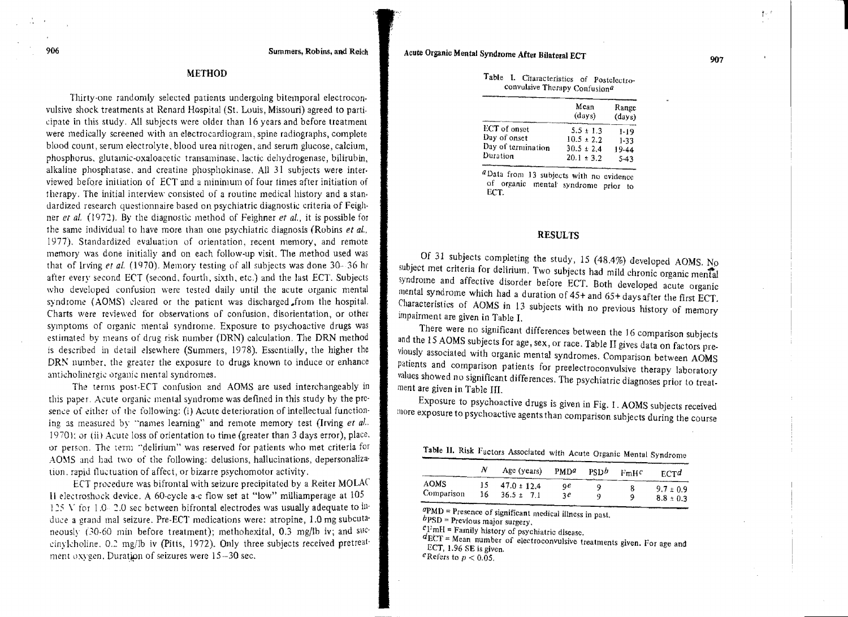|                    | Mean<br>(days) | Range<br>(days) |  |
|--------------------|----------------|-----------------|--|
| ECT of onset       | $5.5 \pm 1.3$  | 1-19            |  |
| Day of onset       | $10.5 \pm 2.2$ | $1-33$          |  |
| Day of termination | $30.5 \pm 2.4$ | 19-44           |  |
| Duration           | $20.1 \pm 3.2$ | $5 - 43$        |  |

Table l. Characteristics of Postclectroconvulsive Therapy Confusion<sup>a</sup>

*a*Data from 13 subjects with no evidence of organic mental syndrome prior to ECT.

### RESULTS

Of 31 subjects completing the study, 15 (48.4%) developed AOMS. No subject met criteria for delirium. Two subjects had mild chronic organic mental syndrome and affective disorder before ECT. Both developed acute organic mental syndrome which had a duration of  $45+$  and  $65+$  days after the first ECT. Characteristics of AOMS in 13 SUbjects with no previous history of memory impairment are given in Table I.

There were no significant differences between the 16 comparison subjects and the 15 AOMS subjects for age, sex, or race. Table II gives data on factors previously associated with organic mental syndromes. Comparison between AOMS patients and comparison patients for preelectroconvulsive therapy laboratory values showed no Significant differences. The psychiatric diagnoses prior to treatment are given in Table III.

Exposure to psychoactive drugs is given in Fig. 1. AOMS subjects received 1110re exposure to psychoactive agents than comparison subjects during the Course

|                           |            | Table 11. KISK Pactors Associated with Acute Organic Mental Syndrome |          |      |      |                                |
|---------------------------|------------|----------------------------------------------------------------------|----------|------|------|--------------------------------|
|                           | Ν          | Age (years) $PMDa$                                                   |          | PSDb | FmHC | $_{\text{RCT}}$                |
| <b>AOMS</b><br>Comparison | 15.<br>16. | $47.0 \pm 12.4$<br>$36.5 \pm 7.1$                                    | ٩e<br>30 | q    | 9    | $9.7 \pm 0.9$<br>$8.8 \pm 0.3$ |

Table II. Risk Fact

 $aPMD$  = Presence of significant medical illness in past.

 $bPSD$  = Previous major surgery.

 $c$ FmH = Family history of psychiatric disease.

 $d_{\text{ECT}}$  = Mean number of electroconvulsive treatments given. For age and ECT, 1.96 SE is given.

eRefers to  $p < 0.05$ .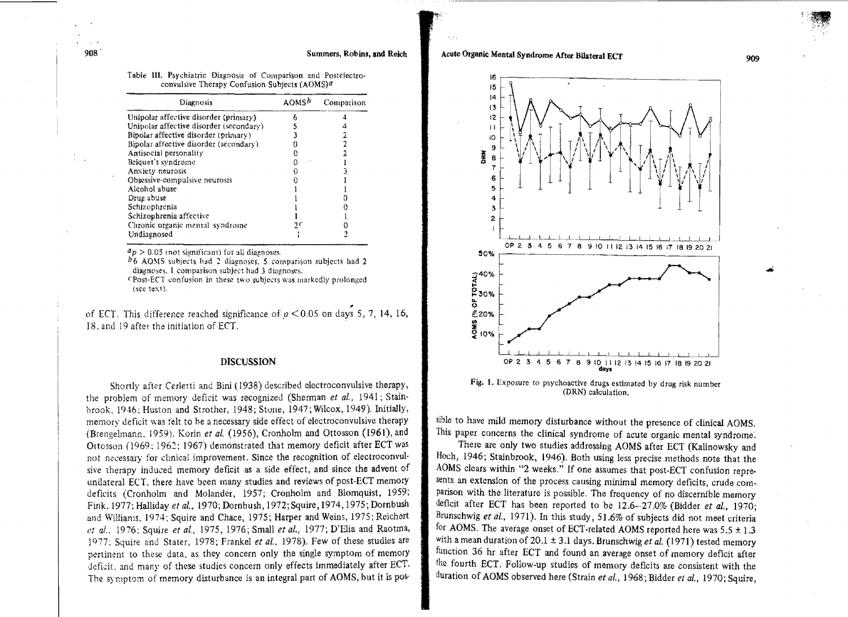| Diagnosis                               | AOMS <sup>h</sup> | Comparison |  |
|-----------------------------------------|-------------------|------------|--|
| Unipolar affective disorder (primary)   |                   |            |  |
| Unipolar affective disorder (secondary) |                   |            |  |
| Bipolar affective disorder (primary)    |                   |            |  |
| Bipolar affective disorder (secondary)  |                   |            |  |
| Antisocial personality                  |                   |            |  |
| Briquet's syndrome                      |                   |            |  |
| Anxiety neurosis                        |                   |            |  |
| Obsessive-compulsive neurosis           |                   |            |  |
| Alcohol abuse                           |                   |            |  |
| Drug abuse                              |                   |            |  |
| Schizophrenia                           |                   |            |  |
| Schizophrenia affective                 |                   |            |  |
| Chronic organic mental syndrome         |                   |            |  |
| Undiagnosed                             |                   |            |  |

Table **111.** Psychiatric Diagnosis of Comparison and Postclectroconvulsive Therapy Confusion Subjects (AOMS)<sup>a</sup>

 $d_p > 0.05$  (not significant) for all diagnoses.

AOMS subjects had 2 diagnoses, 5 comparison subjects had 2 diagnoses. I comparison subject had 3 diagnoses.

CPost-ECT confusion in these two subjects was markedly prolonged  $(sec text).$ 

of ECT. This difference reached significance of  $p < 0.05$  on days 5, 7, 14, 16, 18. and 19 after the initiation of ECT. .

#### DISCUSSION

Shortly after Cerletti and Bini (1938) described electroconvulsive therapy, the problem of memory deficit was recognized (Sherman et al., 1941; Stainbrook, 1946; Huston and Strother, 1948; Stone, 1947; Wilcox, 1949). Initially, memory deficit was felt to be a necessary side effect of electroconvulsive therapy 1959), Korin *et al.* (1956), Cronholm and Ottosson (1961), and Ottosson (1969: 1962: 1967) demonstrated that memory deficit after ECT was not necessary for clinical improvement. Since the recognition of electroconvulsive therapy induced memory deficit as a side effect, and since the advent of unilateral ECT, there have been many studies and reviews of post-ECT memory deficits (Cronholm and Molander, 1957; Cronholm and Blomquist, 1959; Fink. 1977: Halliday *et al..* 1970; Dornbush, 1972; Squire, 1974, 1975; Dornbush and Williams, 1974; Squire and Chace, 1975; Harper and Weins, 1975; Reichert *et al..* 1976; Squire *et al.,* 1975,1976; SmaIl *etal.,* 1977; D'Elia and Raotma, 1977: Squire and Stater, 1978; Frankel *et al.*, 1978). Few of these studies are pertinent to these data. as they concern only the single symptom of memory deficit, and many of these studies concern only effects immediately after ECT. The symptom of memory disturbance is an integral part of AOMS, but it is pos-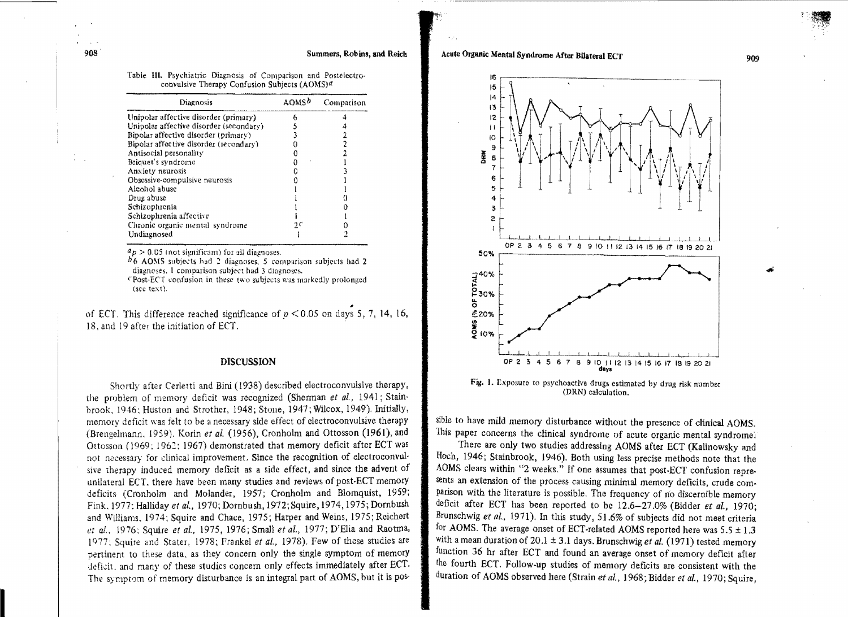# Acute Organic Mental Syndrome After Bilateral ECT



Fig. 1. Exposure to psychoactive drugs estimated by drug risk number (DRN) calculation.

sible to have mild memory disturbance without the presence of clinical AOMS. This paper concerns the clinical syndrome of acute organic mental syndrome:

There are only two studies addressing AOMS after ECT (Kalinowsky and Hoeh, 1946; Stainbrook, 1946). Both using less precise methods note that the AOMS clears within "2 weeks." If one assumes that post·ECT confusion represents an extension of the process causing minimal memory deficits, crude com. parison with the literature is possible. The frequency of no discernible memory deficit after ECT has been reported to be 12.6-27.0% (Bidder *et al.,* 1970; Brunschwig *et al.,* 1971). In this study, 51.6% of subjects did not meet criteria for AOMS. The average onset of ECT-related AOMS reported here was  $5.5 \pm 1.3$ with a mean duration of 20.1 ± 3.1 days. Brunschwig *et al.* (1971) tested memory fUnction 36 hr after ECT and found an average onset of memory deficit after the fourth ECT. Follow-up studies of memory deficits are consistent with the duration of AOMS observed here (Strain *et al., 1968; Bidder et al., 1970; Squire,*  ..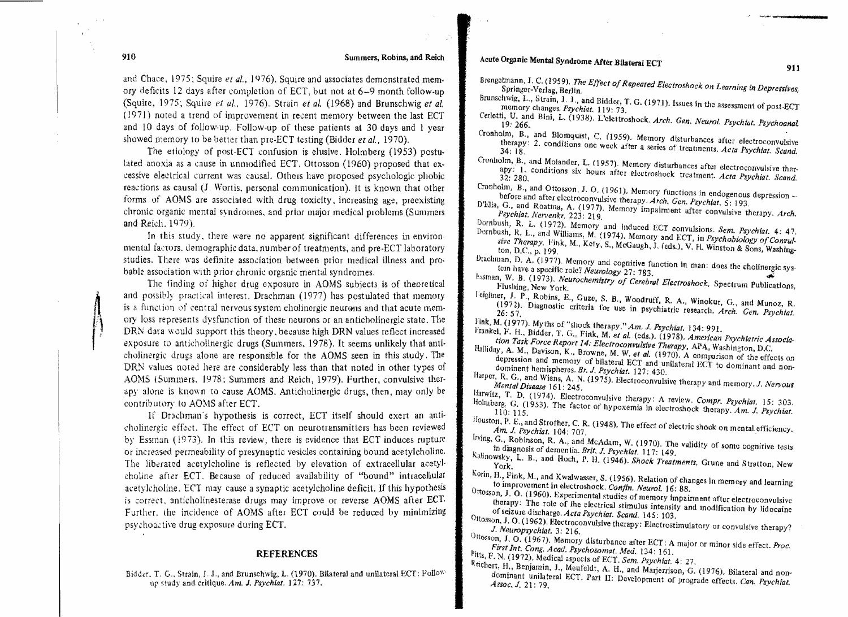#### Summers, Robins, and Reieh

and Chace, 1975; Squire et al., 1976). Squire and associates demonstrated memory deficits 12 days after completion of ECT, but not at  $6-9$  month follow-up (Squire, 1975; Squire *et al..* 1976). Strain *et al.* (1968) and Brunschwig *et al.*   $(1971)$  noted a trend of improvement in recent memory between the last ECT and 10 days of follow-up. Follow-up of these patients at 30 days and 1 year showed memory to be better than pre-ECT testing (Bidder *et al.*, 1970).

The etiology of post-ECT confusion is elusive. Holmberg  $(1953)$  postulated anoxia as a cause in unmodified ECT. Ottosson (1960) proposed that excessive electrical current was causal. Others have proposed psychologic phobic reactions as causal U. Wortis. personal communication). It is known that other forms of AOMS are associated with drug toxicity, increasing age, preexisting chronic organic mental syndromes, and prior major medical problems (Summers and Reich. 1979).

In this study, there were no apparent significant differences in environmental factors. demographic data, number of treatments, and pre-ECT laboratory studies. There was definite association between prior medical illness and probable association with prior chronic organic mental syndromes.

The finding of higher drug exposure in AOMS subjects is of theoretical and possibly practical interest. Drachman (1977) has postulated that memory is a function of central nervous system cholinergic neurons and that acute memory loss represents dysfunction of these neurons or an anticholinergic state. The DRN data would support this theory, because high DRN values reflect increased exposure to anticholinergic drugs (Summers, 1978). It seems unlikely that anticholinergic drugs alone are responsible for the AOMS seen in this study. The DRN values noted here are considerably less than that noted in other types of AOMS (Summers. 1978: Summers and Reich, 1979). Further, convulsive ther· apy alone is known to cause AOMS. Anticholinergic drugs, then, may only be contributory to AOMS after ECT.

If Drachman's hypothesis is correct, ECT itself should exert an anticholinergic effect. The effect of ECT on neurotransmitters has been reviewed by Essman (1973). In this review, there is evidence that ECT induces rupture or increased permeability of presynaptic vesicles containing bound acetylcholine, The liberated acetylcholine is reflected by elevation of extracellular acetylcholine after ECT. Because of reduced availability of "bound" intracellular acetylcholine. ECT may cause a synaptic acetylcholine deficit. If this hypothesis is correct, anticholinesterase drugs may improve or reverse AOMS after ECT. Further. the incidence of AOMS after ECT could be reduced by minimizing psychoactive drug exposure during ECT.

#### REFERENCES

Bidder. T. G., Strain, J. J., and Brunschwig, L. (1970). Bilateral and unilateral ECT: Followup study and critique. *Am. J. Psychiat.* 127: 737.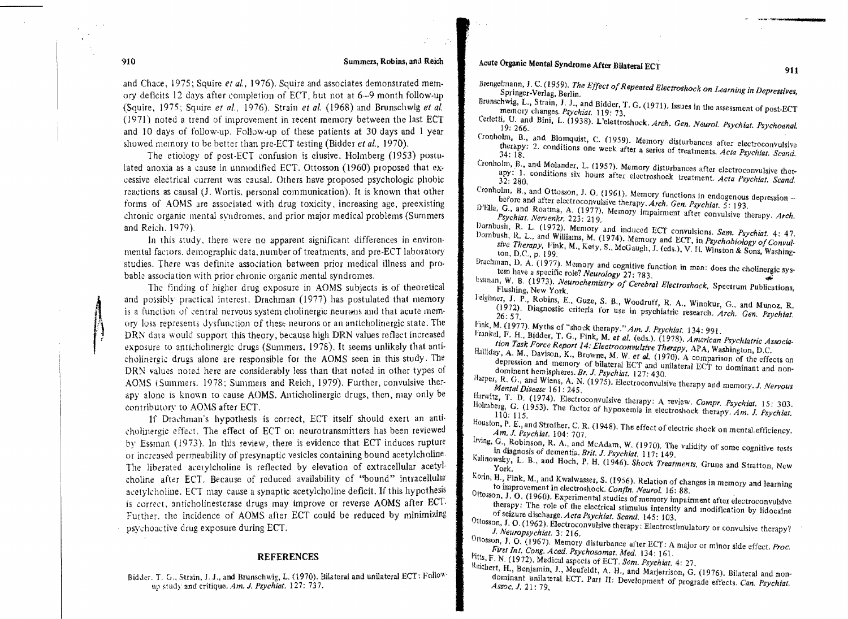# Acute Organic Mental Syndrome After Bilateral ECT

- Brengelmann, J. C. (1959). *The Effect of Repeated Electroshock on Learning in Depressives*,<br>Springer-Verlag, Berlin.
- Brunschwig, L., Strain, J. J., and Bidder, T. G. (1971). Issues in the assessment of post-ECT memory changes. Psychiat. 119: 73.
- U, and Bini, L. (1938). L'elettroshock. *Arch. Gen. Neurol. Psychiat. Psychoanal.*<br>19: 266, **266**
- Cronholm, B., and Blomquist, C. (1959). Memory disturbances after electroconvulsive therapy: 2. conditions one week after a series of treatments. *Acta Psychiat. Scand.*
- Cronholm, B., and Molander. L. (195 7), Memory disturbances after electroconvulsive therapy: 1. conditions six hours after electroshock treatment. *Acta Psychiat. Scand.*
- Cronholm, B., and Ottosson, J. O. (1961), Memory functions in endogenous depression  $\sim$ before and after electroconvulsive therapy. *Arch. Gen. Psychiat.* 5: 193,
- D'Elia, G., and Roatina, A. (1977). Memory impairment after convulsive therapy. Arch. *Il'hiot, Nervenkr.* 223: 219.
- Dornbush, R. L. (1972). Memory and induced ECT convulsions. *Sem. Psychiat.* 4: 47. sive *Therapy, Fink, M., Kety, S., McGaugh, J. (eds.), V. H. Winston & Sons, Washing ton, D.C., p. 199.* R. L., and WiUiams, M. (1974). Memory and EtT, in *P.fychobiology a/Convul-*
- Drachman, D. A. (1977). Memory and cognitive function in man: does the cholinergic sys-<br>tem have a specific role? Neurology 27: 783 tem have a specific role? *Neurology* 27: 783,
- tssinan, W. B. (1973). *Neurochemistry of Cerebral Electroshock*, Spectrum Publications, Flushing, New York,
- l'eighner, J. P., Robins, E., Guze, S. B., Woodruff, R. A., Winokur, G., and Munoz, R. (I 972). Diagnostic criteria for Use in psychiatric research. *Arch. Gen. Psychict.* 26: 57.
- Fink, M. (1977). My ths of "shock therapy." *Am. J. Psychiat.* 134: 991.
- F. H., Bidder, T. G., Fink., M. *et al.*  (cds,). (1978), *American Psychiatric Association Task Force Report*  14: *Electroconvulsive Therapy,*  AP A, Washington, D,C,
- $A$ .  $M$ ., Davison, K., Browne, M. W. et al. (1970). A comparison of the effects on depression and memory of bilateral ECT and unilateral ECT to dominant and non-<br>dominent hemispheres. Br. J. *Psychiat.* **127: 430**.
- Harper, R. G., and Wiens, A. N. (1975). Electroconvulsive therapy and memory. J. *Nervous Menta/Disease* 161: 245.
- Harwitz, T. D. (1974). Electroconvulsive therapy: A review. *Compr. Psychiat.* 15: 303.
- Holmberg, G. (1953). The factor of hypoxemia in electroshock therapy. *Am. J. Psychiat.*
- P. E., and Strother. C. R. (I 948). The effect of electric shock on mentaLeftlciency. J. *Psychiot.* 104: 707.
- Irving, G., Robinson, R. A., and McAdam, W. (1970). The validity of some cognitive tests In diagnosis of dementia. *Brit. J. Psychiat.* 117: 149.
- Radnowsky, L. B., and Hoch, P. H. (1946). *Shock Treatments*, Grune and Stratton, New York.
- Korin, H., Fink, M., and Kwalwasser, S. (1956). Relation of changes in memory and learning to improvement in electroshock. *Confin. Neurol.* 16: 88. .
- Ottosson, J. O. (1960). Experimental studies of memory impairment after electroconvulsive therapy: The role of the electrical stimulus intensity and modification by lidocaine of seizure discharge, *Acra Psychiot. Scand,* 145: 103.
- Ottosson, J. O. (1962). Electroconvulsive therapy: Electrostimulatory or convulsive therapy?<br>*J. Neuropsychiat.* 3: 216.
- Ottosson, J. O. (1967), Memory disturbance after ECT: A major or minor side effect. Proc. First Int. Cong. Acad. Psychosomat. Med. 134: 161.
- <sup>Pitts</sup>, F. N. (1972). Medical aspects of ECT. Sem. Psychiat. 4: 27.
- Reichert, H., Benjamin, J., Meufeldt, A. H., and Marjerrison, G. (1976). Bilateral and nondominant unila teral HCT. Part II: Develo pment of prograde effects. *Can. Psychiat, Assoc.J.* 21: 79,